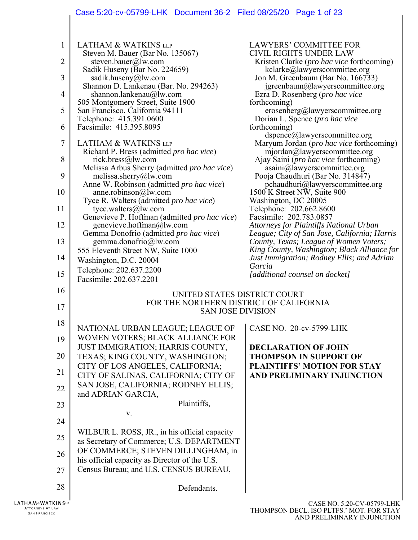# Case 5:20-cv-05799-LHK Document 36-2 Filed 08/25/20 Page 1 of 23

| $\mathbf{1}$ | <b>LATHAM &amp; WATKINS LLP</b>                                      | <b>LAWYERS' COMMITTEE FOR</b>                                                           |
|--------------|----------------------------------------------------------------------|-----------------------------------------------------------------------------------------|
| 2            | Steven M. Bauer (Bar No. 135067)<br>steven.bauer@lw.com              | <b>CIVIL RIGHTS UNDER LAW</b><br>Kristen Clarke ( <i>pro hac vice</i> forthcoming)      |
|              | Sadik Huseny (Bar No. 224659)                                        | kclarke@lawyerscommittee.org                                                            |
| 3            | sadik.huseny@lw.com                                                  | Jon M. Greenbaum (Bar No. 166733)                                                       |
|              | Shannon D. Lankenau (Bar. No. 294263)                                | jgreenbaum@lawyerscommittee.org                                                         |
| 4            | shannon.lankenau@lw.com                                              | Ezra D. Rosenberg (pro hac vice                                                         |
| 5            | 505 Montgomery Street, Suite 1900<br>San Francisco, California 94111 | forthcoming)<br>erosenberg@lawyerscommittee.org                                         |
|              | Telephone: 415.391.0600                                              | Dorian L. Spence (pro hac vice                                                          |
| 6            | Facsimile: 415.395.8095                                              | forthcoming)                                                                            |
|              |                                                                      | dspence@lawyerscommittee.org                                                            |
| 7            | <b>LATHAM &amp; WATKINS LLP</b>                                      | Maryum Jordan (pro hac vice forthcoming)                                                |
|              | Richard P. Bress (admitted pro hac vice)                             | mjordan@lawyerscommittee.org                                                            |
| 8            | rick.bress@lw.com<br>Melissa Arbus Sherry (admitted pro hac vice)    | Ajay Saini ( <i>pro hac vice</i> forthcoming)<br>asaini@lawyers committee.org           |
| 9            | melissa.sherry@lw.com                                                | Pooja Chaudhuri (Bar No. 314847)                                                        |
|              | Anne W. Robinson (admitted pro hac vice)                             | pchaudhuri@lawyerscommittee.org                                                         |
| 10           | anne.robinson@lw.com                                                 | 1500 K Street NW, Suite 900                                                             |
|              | Tyce R. Walters (admitted pro hac vice)                              | Washington, DC 20005                                                                    |
| 11           | tyce.walters@lw.com                                                  | Telephone: 202.662.8600                                                                 |
|              | Genevieve P. Hoffman (admitted pro hac vice)                         | Facsimile: 202.783.0857                                                                 |
| 12           | genevieve.hoffman@lw.com<br>Gemma Donofrio (admitted pro hac vice)   | Attorneys for Plaintiffs National Urban<br>League; City of San Jose, California; Harris |
| 13           | gemma.donofrio@lw.com                                                | County, Texas; League of Women Voters;                                                  |
|              | 555 Eleventh Street NW, Suite 1000                                   | King County, Washington; Black Alliance for                                             |
| 14           | Washington, D.C. 20004                                               | Just Immigration; Rodney Ellis; and Adrian                                              |
|              | Telephone: 202.637.2200                                              | Garcia                                                                                  |
| 15           | Facsimile: 202.637.2201                                              | [additional counsel on docket]                                                          |
| 16           |                                                                      |                                                                                         |
|              | UNITED STATES DISTRICT COURT                                         |                                                                                         |
| 17           | FOR THE NORTHERN DISTRICT OF CALIFORNIA<br><b>SAN JOSE DIVISION</b>  |                                                                                         |
|              |                                                                      |                                                                                         |
| 18           | NATIONAL URBAN LEAGUE; LEAGUE OF                                     | CASE NO. 20-cv-5799-LHK                                                                 |
| 19           | WOMEN VOTERS; BLACK ALLIANCE FOR                                     |                                                                                         |
|              | JUST IMMIGRATION; HARRIS COUNTY,                                     | <b>DECLARATION OF JOHN</b>                                                              |
| 20           | TEXAS; KING COUNTY, WASHINGTON;                                      | <b>THOMPSON IN SUPPORT OF</b>                                                           |
|              | CITY OF LOS ANGELES, CALIFORNIA;                                     | <b>PLAINTIFFS' MOTION FOR STAY</b>                                                      |
| 21           | CITY OF SALINAS, CALIFORNIA; CITY OF                                 | AND PRELIMINARY INJUNCTION                                                              |
|              | SAN JOSE, CALIFORNIA; RODNEY ELLIS;                                  |                                                                                         |
| 22           | and ADRIAN GARCIA,                                                   |                                                                                         |
| 23           | Plaintiffs,                                                          |                                                                                         |
|              | V.                                                                   |                                                                                         |
| 24           |                                                                      |                                                                                         |
|              | WILBUR L. ROSS, JR., in his official capacity                        |                                                                                         |
| 25           | as Secretary of Commerce; U.S. DEPARTMENT                            |                                                                                         |
| 26           | OF COMMERCE; STEVEN DILLINGHAM, in                                   |                                                                                         |
|              | his official capacity as Director of the U.S.                        |                                                                                         |
| 27           | Census Bureau; and U.S. CENSUS BUREAU,                               |                                                                                         |
|              |                                                                      |                                                                                         |
| 28           | Defendants.                                                          |                                                                                         |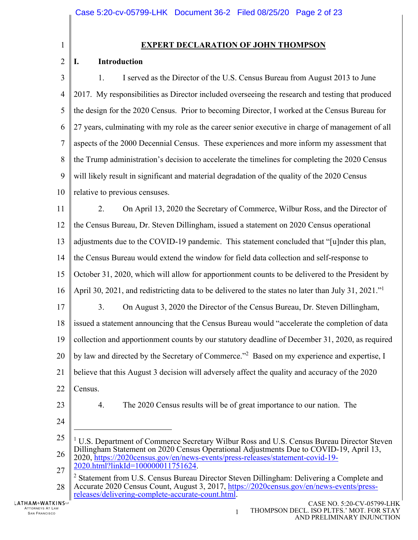1

 $\overline{2}$ 

# **EXPERT DECLARATION OF JOHN THOMPSON**

# **I. Introduction**

3 4 5 6 7 8 9 10 1. I served as the Director of the U.S. Census Bureau from August 2013 to June 2017. My responsibilities as Director included overseeing the research and testing that produced the design for the 2020 Census. Prior to becoming Director, I worked at the Census Bureau for 27 years, culminating with my role as the career senior executive in charge of management of all aspects of the 2000 Decennial Census. These experiences and more inform my assessment that the Trump administration's decision to accelerate the timelines for completing the 2020 Census will likely result in significant and material degradation of the quality of the 2020 Census relative to previous censuses.

11 12 13 14 15 16 17 18 19 20 21 22 2. On April 13, 2020 the Secretary of Commerce, Wilbur Ross, and the Director of the Census Bureau, Dr. Steven Dillingham, issued a statement on 2020 Census operational adjustments due to the COVID-19 pandemic. This statement concluded that "[u]nder this plan, the Census Bureau would extend the window for field data collection and self-response to October 31, 2020, which will allow for apportionment counts to be delivered to the President by April 30, 2021, and redistricting data to be delivered to the states no later than July 31, 2021.<sup>''1</sup> 3. On August 3, 2020 the Director of the Census Bureau, Dr. Steven Dillingham, issued a statement announcing that the Census Bureau would "accelerate the completion of data collection and apportionment counts by our statutory deadline of December 31, 2020, as required by law and directed by the Secretary of Commerce."<sup>2</sup> Based on my experience and expertise, I believe that this August 3 decision will adversely affect the quality and accuracy of the 2020 Census.

- 23
- 4. The 2020 Census results will be of great importance to our nation. The
- 24

 $\overline{a}$ 

2020.html?linkId=100000011751624.

27

28 <sup>2</sup> Statement from U.S. Census Bureau Director Steven Dillingham: Delivering a Complete and Accurate 2020 Census Count, August 3, 2017, https://2020census.gov/en/news-events/pressreleases/delivering-complete-accurate-count.html.

<sup>25</sup> 26 <sup>1</sup> U.S. Department of Commerce Secretary Wilbur Ross and U.S. Census Bureau Director Steven Dillingham Statement on 2020 Census Operational Adjustments Due to COVID-19, April 13, 2020, https://2020census.gov/en/news-events/press-releases/statement-covid-19-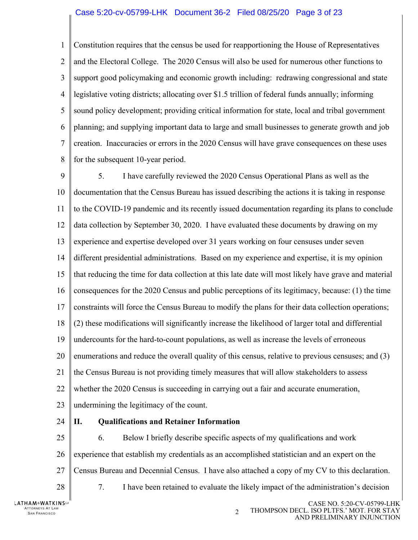#### Case 5:20-cv-05799-LHK Document 36-2 Filed 08/25/20 Page 3 of 23

1  $\mathcal{D}_{\mathcal{L}}$ 3 4 5 6 7 8 Constitution requires that the census be used for reapportioning the House of Representatives and the Electoral College. The 2020 Census will also be used for numerous other functions to support good policymaking and economic growth including: redrawing congressional and state legislative voting districts; allocating over \$1.5 trillion of federal funds annually; informing sound policy development; providing critical information for state, local and tribal government planning; and supplying important data to large and small businesses to generate growth and job creation. Inaccuracies or errors in the 2020 Census will have grave consequences on these uses for the subsequent 10-year period.

9 10 11 12 13 14 15 16 17 18 19 20 21 22 23 5. I have carefully reviewed the 2020 Census Operational Plans as well as the documentation that the Census Bureau has issued describing the actions it is taking in response to the COVID-19 pandemic and its recently issued documentation regarding its plans to conclude data collection by September 30, 2020. I have evaluated these documents by drawing on my experience and expertise developed over 31 years working on four censuses under seven different presidential administrations. Based on my experience and expertise, it is my opinion that reducing the time for data collection at this late date will most likely have grave and material consequences for the 2020 Census and public perceptions of its legitimacy, because: (1) the time constraints will force the Census Bureau to modify the plans for their data collection operations; (2) these modifications will significantly increase the likelihood of larger total and differential undercounts for the hard-to-count populations, as well as increase the levels of erroneous enumerations and reduce the overall quality of this census, relative to previous censuses; and (3) the Census Bureau is not providing timely measures that will allow stakeholders to assess whether the 2020 Census is succeeding in carrying out a fair and accurate enumeration, undermining the legitimacy of the count.

24 **II. Qualifications and Retainer Information** 

25 26 27 6. Below I briefly describe specific aspects of my qualifications and work experience that establish my credentials as an accomplished statistician and an expert on the Census Bureau and Decennial Census. I have also attached a copy of my CV to this declaration.

7. I have been retained to evaluate the likely impact of the administration's decision

**LATHAM&WATKINSLIP** ATTORNEYS AT LAW<br>SAN FRANCISCO SAN FRANCISCO 2

28

CASE NO. 5:20-CV-05799-LHK THOMPSON DECL. ISO PLTFS.' MOT. FOR STAY AND PRELIMINARY INJUNCTION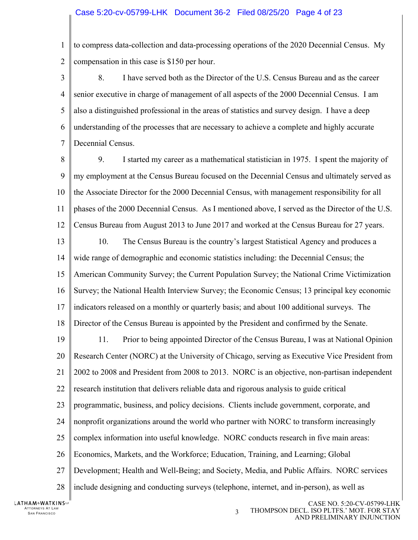1  $\mathcal{D}_{\mathcal{L}}$ to compress data-collection and data-processing operations of the 2020 Decennial Census. My compensation in this case is \$150 per hour.

3 4 5 6 7 8. I have served both as the Director of the U.S. Census Bureau and as the career senior executive in charge of management of all aspects of the 2000 Decennial Census. I am also a distinguished professional in the areas of statistics and survey design. I have a deep understanding of the processes that are necessary to achieve a complete and highly accurate Decennial Census.

- 8 9 10 11 12 9. I started my career as a mathematical statistician in 1975. I spent the majority of my employment at the Census Bureau focused on the Decennial Census and ultimately served as the Associate Director for the 2000 Decennial Census, with management responsibility for all phases of the 2000 Decennial Census. As I mentioned above, I served as the Director of the U.S. Census Bureau from August 2013 to June 2017 and worked at the Census Bureau for 27 years.
- 13 14 15 16 17 18 10. The Census Bureau is the country's largest Statistical Agency and produces a wide range of demographic and economic statistics including: the Decennial Census; the American Community Survey; the Current Population Survey; the National Crime Victimization Survey; the National Health Interview Survey; the Economic Census; 13 principal key economic indicators released on a monthly or quarterly basis; and about 100 additional surveys. The Director of the Census Bureau is appointed by the President and confirmed by the Senate.
- 19 20 21 22 23 11. Prior to being appointed Director of the Census Bureau, I was at National Opinion Research Center (NORC) at the University of Chicago, serving as Executive Vice President from 2002 to 2008 and President from 2008 to 2013. NORC is an objective, non-partisan independent research institution that delivers reliable data and rigorous analysis to guide critical programmatic, business, and policy decisions. Clients include government, corporate, and
- 24 nonprofit organizations around the world who partner with NORC to transform increasingly
- 25 complex information into useful knowledge. NORC conducts research in five main areas:
- 26 Economics, Markets, and the Workforce; Education, Training, and Learning; Global
- 27 Development; Health and Well-Being; and Society, Media, and Public Affairs. NORC services
- 28 include designing and conducting surveys (telephone, internet, and in-person), as well as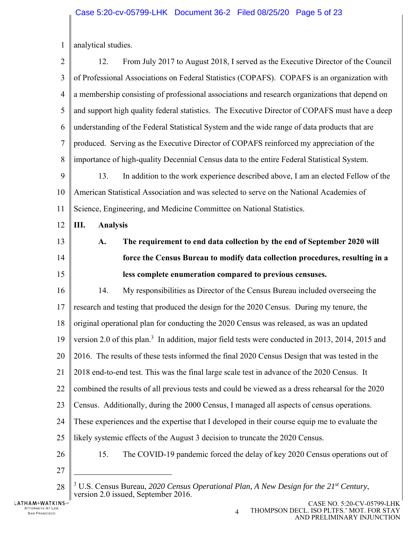1 analytical studies.

| $\overline{2}$   | From July 2017 to August 2018, I served as the Executive Director of the Council<br>12.                      |  |  |  |  |
|------------------|--------------------------------------------------------------------------------------------------------------|--|--|--|--|
| 3                | of Professional Associations on Federal Statistics (COPAFS). COPAFS is an organization with                  |  |  |  |  |
| $\overline{4}$   | a membership consisting of professional associations and research organizations that depend on               |  |  |  |  |
| 5                | and support high quality federal statistics. The Executive Director of COPAFS must have a deep               |  |  |  |  |
| 6                | understanding of the Federal Statistical System and the wide range of data products that are                 |  |  |  |  |
| $\boldsymbol{7}$ | produced. Serving as the Executive Director of COPAFS reinforced my appreciation of the                      |  |  |  |  |
| 8                | importance of high-quality Decennial Census data to the entire Federal Statistical System.                   |  |  |  |  |
| 9                | In addition to the work experience described above, I am an elected Fellow of the<br>13.                     |  |  |  |  |
| 10               | American Statistical Association and was selected to serve on the National Academies of                      |  |  |  |  |
| 11               | Science, Engineering, and Medicine Committee on National Statistics.                                         |  |  |  |  |
| 12               | Ш.<br><b>Analysis</b>                                                                                        |  |  |  |  |
| 13               | The requirement to end data collection by the end of September 2020 will<br>A.                               |  |  |  |  |
| 14               | force the Census Bureau to modify data collection procedures, resulting in a                                 |  |  |  |  |
| 15               | less complete enumeration compared to previous censuses.                                                     |  |  |  |  |
| 16               | My responsibilities as Director of the Census Bureau included overseeing the<br>14.                          |  |  |  |  |
| 17               | research and testing that produced the design for the 2020 Census. During my tenure, the                     |  |  |  |  |
| 18               | original operational plan for conducting the 2020 Census was released, as was an updated                     |  |  |  |  |
| 19               | version 2.0 of this plan. <sup>3</sup> In addition, major field tests were conducted in 2013, 2014, 2015 and |  |  |  |  |
| 20               | 2016. The results of these tests informed the final 2020 Census Design that was tested in the                |  |  |  |  |
| 21               | 2018 end-to-end test. This was the final large scale test in advance of the 2020 Census. It                  |  |  |  |  |
| 22               | combined the results of all previous tests and could be viewed as a dress rehearsal for the 2020             |  |  |  |  |
| 23               | Census. Additionally, during the 2000 Census, I managed all aspects of census operations.                    |  |  |  |  |
| 24               | These experiences and the expertise that I developed in their course equip me to evaluate the                |  |  |  |  |
| 25               | likely systemic effects of the August 3 decision to truncate the 2020 Census.                                |  |  |  |  |
| 26               | 15.<br>The COVID-19 pandemic forced the delay of key 2020 Census operations out of                           |  |  |  |  |
| 27               |                                                                                                              |  |  |  |  |
| $\gamma$         | <sup>3</sup> IIS Census Bureau 2020 Cansus Operational Plan, A New Design for the 21st Century               |  |  |  |  |

28 U.S. Census Bureau, *2020 Census Operational Plan, A New Design for the 21st Century*, version 2.0 issued, September 2016.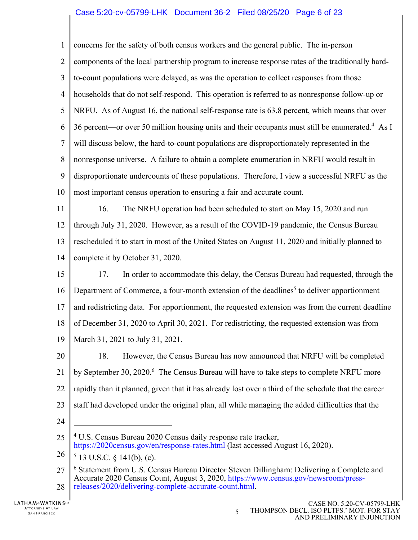#### Case 5:20-cv-05799-LHK Document 36-2 Filed 08/25/20 Page 6 of 23

1  $\mathfrak{D}$ 3 4 5 6 7 8 9 10 11 12 13 14 15 16 17 18 19 20 21 22 23 24 25 concerns for the safety of both census workers and the general public. The in-person components of the local partnership program to increase response rates of the traditionally hardto-count populations were delayed, as was the operation to collect responses from those households that do not self-respond. This operation is referred to as nonresponse follow-up or NRFU. As of August 16, the national self-response rate is 63.8 percent, which means that over 36 percent—or over 50 million housing units and their occupants must still be enumerated.<sup>4</sup> As I will discuss below, the hard-to-count populations are disproportionately represented in the nonresponse universe. A failure to obtain a complete enumeration in NRFU would result in disproportionate undercounts of these populations. Therefore, I view a successful NRFU as the most important census operation to ensuring a fair and accurate count. 16. The NRFU operation had been scheduled to start on May 15, 2020 and run through July 31, 2020. However, as a result of the COVID-19 pandemic, the Census Bureau rescheduled it to start in most of the United States on August 11, 2020 and initially planned to complete it by October 31, 2020. 17. In order to accommodate this delay, the Census Bureau had requested, through the Department of Commerce, a four-month extension of the deadlines<sup>5</sup> to deliver apportionment and redistricting data. For apportionment, the requested extension was from the current deadline of December 31, 2020 to April 30, 2021. For redistricting, the requested extension was from March 31, 2021 to July 31, 2021. 18. However, the Census Bureau has now announced that NRFU will be completed by September 30, 2020.<sup>6</sup> The Census Bureau will have to take steps to complete NRFU more rapidly than it planned, given that it has already lost over a third of the schedule that the career staff had developed under the original plan, all while managing the added difficulties that the  $\overline{a}$ <sup>4</sup> U.S. Census Bureau 2020 Census daily response rate tracker, https://2020census.gov/en/response-rates.html (last accessed August 16, 2020).

26  $5$  13 U.S.C. § 141(b), (c).

27 28 <sup>6</sup> Statement from U.S. Census Bureau Director Steven Dillingham: Delivering a Complete and Accurate 2020 Census Count, August 3, 2020, https://www.census.gov/newsroom/pressreleases/2020/delivering-complete-accurate-count.html.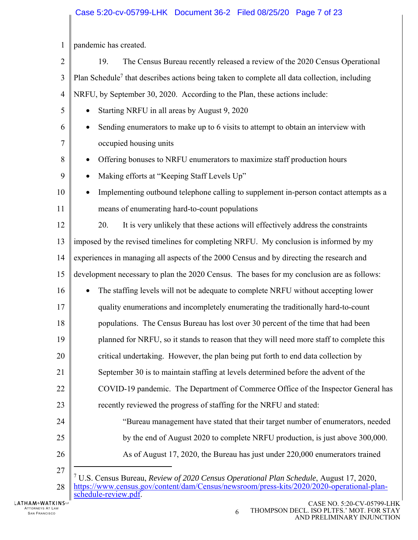# Case 5:20-cv-05799-LHK Document 36-2 Filed 08/25/20 Page 7 of 23

| $\mathbf{1}$   | pandemic has created.                                                                                    |  |  |  |  |
|----------------|----------------------------------------------------------------------------------------------------------|--|--|--|--|
| $\overline{2}$ | 19.<br>The Census Bureau recently released a review of the 2020 Census Operational                       |  |  |  |  |
| 3              | Plan Schedule <sup>7</sup> that describes actions being taken to complete all data collection, including |  |  |  |  |
| $\overline{4}$ | NRFU, by September 30, 2020. According to the Plan, these actions include:                               |  |  |  |  |
| 5              | Starting NRFU in all areas by August 9, 2020                                                             |  |  |  |  |
| 6              | Sending enumerators to make up to 6 visits to attempt to obtain an interview with<br>$\bullet$           |  |  |  |  |
| 7              | occupied housing units                                                                                   |  |  |  |  |
| 8              | Offering bonuses to NRFU enumerators to maximize staff production hours<br>$\bullet$                     |  |  |  |  |
| 9              | Making efforts at "Keeping Staff Levels Up"<br>$\bullet$                                                 |  |  |  |  |
| 10             | Implementing outbound telephone calling to supplement in-person contact attempts as a<br>$\bullet$       |  |  |  |  |
| 11             | means of enumerating hard-to-count populations                                                           |  |  |  |  |
| 12             | 20.<br>It is very unlikely that these actions will effectively address the constraints                   |  |  |  |  |
| 13             | imposed by the revised timelines for completing NRFU. My conclusion is informed by my                    |  |  |  |  |
| 14             | experiences in managing all aspects of the 2000 Census and by directing the research and                 |  |  |  |  |
| 15             | development necessary to plan the 2020 Census. The bases for my conclusion are as follows:               |  |  |  |  |
| 16             | The staffing levels will not be adequate to complete NRFU without accepting lower<br>$\bullet$           |  |  |  |  |
| 17             | quality enumerations and incompletely enumerating the traditionally hard-to-count                        |  |  |  |  |
| 18             | populations. The Census Bureau has lost over 30 percent of the time that had been                        |  |  |  |  |
| 19             | planned for NRFU, so it stands to reason that they will need more staff to complete this                 |  |  |  |  |
| 20             | critical undertaking. However, the plan being put forth to end data collection by                        |  |  |  |  |
| 21             | September 30 is to maintain staffing at levels determined before the advent of the                       |  |  |  |  |
| 22             | COVID-19 pandemic. The Department of Commerce Office of the Inspector General has                        |  |  |  |  |
| 23             | recently reviewed the progress of staffing for the NRFU and stated:                                      |  |  |  |  |
| 24             | "Bureau management have stated that their target number of enumerators, needed                           |  |  |  |  |
| 25             | by the end of August 2020 to complete NRFU production, is just above 300,000.                            |  |  |  |  |
| 26             | As of August 17, 2020, the Bureau has just under 220,000 enumerators trained                             |  |  |  |  |
| 27             | <sup>7</sup> U.S. Census Bureau, Review of 2020 Census Operational Plan Schedule, August 17, 2020,       |  |  |  |  |
| 28             | https://www.census.gov/content/dam/Census/newsroom/press-kits/2020/2020-operational-plan-                |  |  |  |  |

schedule-review.pdf.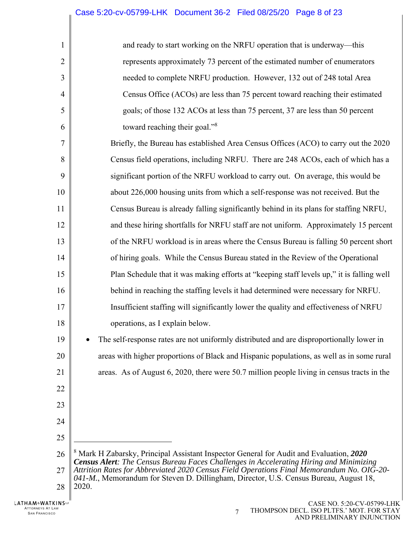| $\mathbf{1}$   | and ready to start working on the NRFU operation that is underway—this                                                                                                                              |
|----------------|-----------------------------------------------------------------------------------------------------------------------------------------------------------------------------------------------------|
| $\overline{2}$ | represents approximately 73 percent of the estimated number of enumerators                                                                                                                          |
| 3              | needed to complete NRFU production. However, 132 out of 248 total Area                                                                                                                              |
| $\overline{4}$ | Census Office (ACOs) are less than 75 percent toward reaching their estimated                                                                                                                       |
| 5              | goals; of those 132 ACOs at less than 75 percent, 37 are less than 50 percent                                                                                                                       |
| 6              | toward reaching their goal." <sup>8</sup>                                                                                                                                                           |
| 7              | Briefly, the Bureau has established Area Census Offices (ACO) to carry out the 2020                                                                                                                 |
| 8              | Census field operations, including NRFU. There are 248 ACOs, each of which has a                                                                                                                    |
| 9              | significant portion of the NRFU workload to carry out. On average, this would be                                                                                                                    |
| 10             | about 226,000 housing units from which a self-response was not received. But the                                                                                                                    |
| 11             | Census Bureau is already falling significantly behind in its plans for staffing NRFU,                                                                                                               |
| 12             | and these hiring shortfalls for NRFU staff are not uniform. Approximately 15 percent                                                                                                                |
| 13             | of the NRFU workload is in areas where the Census Bureau is falling 50 percent short                                                                                                                |
| 14             | of hiring goals. While the Census Bureau stated in the Review of the Operational                                                                                                                    |
| 15             | Plan Schedule that it was making efforts at "keeping staff levels up," it is falling well                                                                                                           |
| 16             | behind in reaching the staffing levels it had determined were necessary for NRFU.                                                                                                                   |
| 17             | Insufficient staffing will significantly lower the quality and effectiveness of NRFU                                                                                                                |
| 18             | operations, as I explain below.                                                                                                                                                                     |
| 19             | The self-response rates are not uniformly distributed and are disproportionally lower in                                                                                                            |
| 20             | areas with higher proportions of Black and Hispanic populations, as well as in some rural                                                                                                           |
| 21             | areas. As of August 6, 2020, there were 50.7 million people living in census tracts in the                                                                                                          |
| 22             |                                                                                                                                                                                                     |
| 23             |                                                                                                                                                                                                     |
| 24             |                                                                                                                                                                                                     |
| 25             |                                                                                                                                                                                                     |
| 26             | <sup>8</sup> Mark H Zabarsky, Principal Assistant Inspector General for Audit and Evaluation, 2020<br><b>Census Alert:</b> The Census Bureau Faces Challenges in Accelerating Hiring and Minimizing |
| 27             | Attrition Rates for Abbreviated 2020 Census Field Operations Final Memorandum No. OIG-20-<br>041-M., Memorandum for Steven D. Dillingham, Director, U.S. Census Bureau, August 18,                  |
| 28             | 2020.                                                                                                                                                                                               |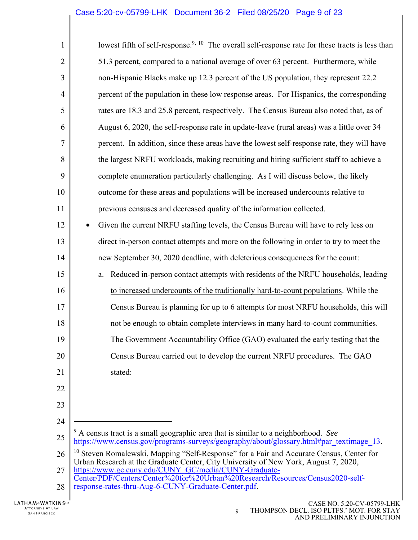# Case 5:20-cv-05799-LHK Document 36-2 Filed 08/25/20 Page 9 of 23

| $\mathbf{1}$   | lowest fifth of self-response. <sup>9, 10</sup> The overall self-response rate for these tracts is less than                                                                               |
|----------------|--------------------------------------------------------------------------------------------------------------------------------------------------------------------------------------------|
| $\overline{2}$ | 51.3 percent, compared to a national average of over 63 percent. Furthermore, while                                                                                                        |
| 3              | non-Hispanic Blacks make up 12.3 percent of the US population, they represent 22.2                                                                                                         |
| $\overline{4}$ | percent of the population in these low response areas. For Hispanics, the corresponding                                                                                                    |
| 5              | rates are 18.3 and 25.8 percent, respectively. The Census Bureau also noted that, as of                                                                                                    |
| 6              | August 6, 2020, the self-response rate in update-leave (rural areas) was a little over 34                                                                                                  |
| 7              | percent. In addition, since these areas have the lowest self-response rate, they will have                                                                                                 |
| 8              | the largest NRFU workloads, making recruiting and hiring sufficient staff to achieve a                                                                                                     |
| 9              | complete enumeration particularly challenging. As I will discuss below, the likely                                                                                                         |
| 10             | outcome for these areas and populations will be increased undercounts relative to                                                                                                          |
| 11             | previous censuses and decreased quality of the information collected.                                                                                                                      |
| 12             | Given the current NRFU staffing levels, the Census Bureau will have to rely less on                                                                                                        |
| 13             | direct in-person contact attempts and more on the following in order to try to meet the                                                                                                    |
| 14             | new September 30, 2020 deadline, with deleterious consequences for the count:                                                                                                              |
| 15             | Reduced in-person contact attempts with residents of the NRFU households, leading<br>a.                                                                                                    |
| 16             | to increased undercounts of the traditionally hard-to-count populations. While the                                                                                                         |
| 17             | Census Bureau is planning for up to 6 attempts for most NRFU households, this will                                                                                                         |
| 18             | not be enough to obtain complete interviews in many hard-to-count communities.                                                                                                             |
| 19             | The Government Accountability Office (GAO) evaluated the early testing that the                                                                                                            |
| 20             | Census Bureau carried out to develop the current NRFU procedures. The GAO                                                                                                                  |
| 21             | stated:                                                                                                                                                                                    |
| 22             |                                                                                                                                                                                            |
| 23             |                                                                                                                                                                                            |
| 24             |                                                                                                                                                                                            |
| 25             | A census tract is a small geographic area that is similar to a neighborhood. See<br>https://www.census.gov/programs-surveys/geography/about/glossary.html#par_textimage_13.                |
| 26             | <sup>10</sup> Steven Romalewski, Mapping "Self-Response" for a Fair and Accurate Census, Center for<br>Urban Research at the Graduate Center, City University of New York, August 7, 2020, |
| 27             | https://www.gc.cuny.edu/CUNY_GC/media/CUNY-Graduate-<br>Center/PDF/Centers/Center%20for%20Urban%20Research/Resources/Census2020-self-                                                      |
| 28             | response-rates-thru-Aug-6-CUNY-Graduate-Center.pdf.                                                                                                                                        |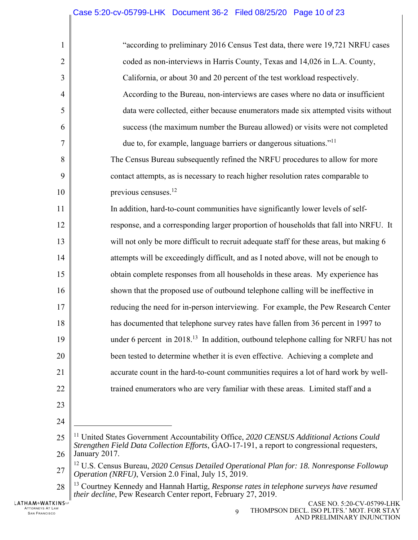| $\mathbf{1}$   | "according to preliminary 2016 Census Test data, there were 19,721 NRFU cases                   |
|----------------|-------------------------------------------------------------------------------------------------|
| $\overline{2}$ | coded as non-interviews in Harris County, Texas and 14,026 in L.A. County,                      |
| 3              | California, or about 30 and 20 percent of the test workload respectively.                       |
| 4              | According to the Bureau, non-interviews are cases where no data or insufficient                 |
| 5              | data were collected, either because enumerators made six attempted visits without               |
| 6              | success (the maximum number the Bureau allowed) or visits were not completed                    |
| 7              | due to, for example, language barriers or dangerous situations." <sup>11</sup>                  |
| 8              | The Census Bureau subsequently refined the NRFU procedures to allow for more                    |
| 9              | contact attempts, as is necessary to reach higher resolution rates comparable to                |
| 10             | previous censuses. <sup>12</sup>                                                                |
| 11             | In addition, hard-to-count communities have significantly lower levels of self-                 |
| 12             | response, and a corresponding larger proportion of households that fall into NRFU. It           |
| 13             | will not only be more difficult to recruit adequate staff for these areas, but making 6         |
| 14             | attempts will be exceedingly difficult, and as I noted above, will not be enough to             |
| 15             | obtain complete responses from all households in these areas. My experience has                 |
| 16             | shown that the proposed use of outbound telephone calling will be ineffective in                |
| 17             | reducing the need for in-person interviewing. For example, the Pew Research Center              |
| 18             | has documented that telephone survey rates have fallen from 36 percent in 1997 to               |
| 19             | under 6 percent in 2018. <sup>13</sup> In addition, outbound telephone calling for NRFU has not |
| 20             | been tested to determine whether it is even effective. Achieving a complete and                 |
| 21             | accurate count in the hard-to-count communities requires a lot of hard work by well-            |
| 22             | trained enumerators who are very familiar with these areas. Limited staff and a                 |
| 23             |                                                                                                 |
| 24             |                                                                                                 |

<sup>25</sup> 26 11 United States Government Accountability Office, *2020 CENSUS Additional Actions Could Strengthen Field Data Collection Efforts*, GAO-17-191, a report to congressional requesters, January 2017.

1

<sup>27</sup> 12 U.S. Census Bureau, *2020 Census Detailed Operational Plan for: 18. Nonresponse Followup Operation (NRFU)*, Version 2.0 Final, July 15, 2019.

<sup>28</sup> 13 Courtney Kennedy and Hannah Hartig, *Response rates in telephone surveys have resumed their decline*, Pew Research Center report, February 27, 2019.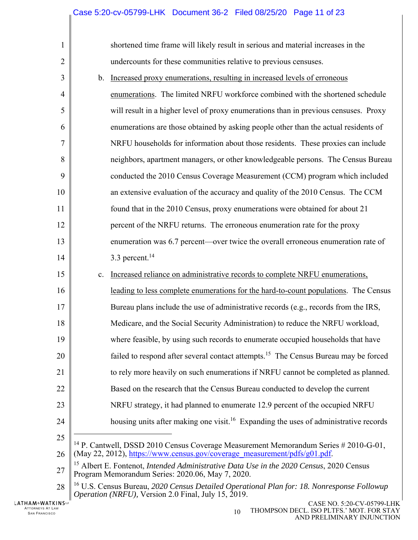| $\mathbf{1}$      |                | shortened time frame will likely result in serious and material increases in the                                                                               |
|-------------------|----------------|----------------------------------------------------------------------------------------------------------------------------------------------------------------|
| $\overline{2}$    |                | undercounts for these communities relative to previous censuses.                                                                                               |
| 3                 | $\mathbf{b}$ . | Increased proxy enumerations, resulting in increased levels of erroneous                                                                                       |
| $\overline{4}$    |                | enumerations. The limited NRFU workforce combined with the shortened schedule                                                                                  |
| 5                 |                | will result in a higher level of proxy enumerations than in previous censuses. Proxy                                                                           |
| 6                 |                | enumerations are those obtained by asking people other than the actual residents of                                                                            |
| 7                 |                | NRFU households for information about those residents. These proxies can include                                                                               |
| 8                 |                | neighbors, apartment managers, or other knowledgeable persons. The Census Bureau                                                                               |
| 9                 |                | conducted the 2010 Census Coverage Measurement (CCM) program which included                                                                                    |
| 10                |                | an extensive evaluation of the accuracy and quality of the 2010 Census. The CCM                                                                                |
| 11                |                | found that in the 2010 Census, proxy enumerations were obtained for about 21                                                                                   |
| 12                |                | percent of the NRFU returns. The erroneous enumeration rate for the proxy                                                                                      |
| 13                |                | enumeration was 6.7 percent—over twice the overall erroneous enumeration rate of                                                                               |
| 14                |                | 3.3 percent. $14$                                                                                                                                              |
| 15                | c.             | Increased reliance on administrative records to complete NRFU enumerations,                                                                                    |
| 16                |                | leading to less complete enumerations for the hard-to-count populations. The Census                                                                            |
| 17                |                | Bureau plans include the use of administrative records (e.g., records from the IRS,                                                                            |
| 18                |                | Medicare, and the Social Security Administration) to reduce the NRFU workload,                                                                                 |
| 19                |                | where feasible, by using such records to enumerate occupied households that have                                                                               |
| 20                |                | failed to respond after several contact attempts. <sup>15</sup> The Census Bureau may be forced                                                                |
| 21                |                | to rely more heavily on such enumerations if NRFU cannot be completed as planned.                                                                              |
| 22                |                | Based on the research that the Census Bureau conducted to develop the current                                                                                  |
| 23                |                | NRFU strategy, it had planned to enumerate 12.9 percent of the occupied NRFU                                                                                   |
| 24                |                | housing units after making one visit. <sup>16</sup> Expanding the uses of administrative records                                                               |
| 25                |                | <sup>14</sup> P. Cantwell, DSSD 2010 Census Coverage Measurement Memorandum Series # 2010-G-01,                                                                |
| 26                |                | (May 22, 2012), https://www.census.gov/coverage_measurement/pdfs/g01.pdf.                                                                                      |
| 27                |                | <sup>15</sup> Albert E. Fontenot, <i>Intended Administrative Data Use in the 2020 Census</i> , 2020 Census<br>Program Memorandum Series: 2020.06, May 7, 2020. |
| 28                |                | <sup>16</sup> U.S. Census Bureau, 2020 Census Detailed Operational Plan for: 18. Nonresponse Followup<br>Operation (NRFU), Version 2.0 Final, July 15, 2019.   |
| INS <sub>te</sub> |                | CASE NO 5.20-CV-05799-LHK                                                                                                                                      |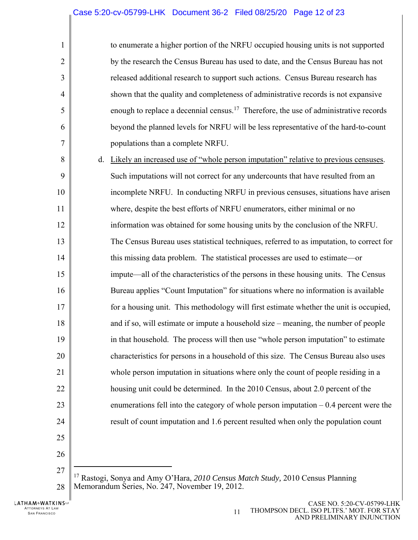| 1              |    | to enumerate a higher portion of the NRFU occupied housing units is not supported                |
|----------------|----|--------------------------------------------------------------------------------------------------|
| $\overline{2}$ |    | by the research the Census Bureau has used to date, and the Census Bureau has not                |
| 3              |    | released additional research to support such actions. Census Bureau research has                 |
| $\overline{4}$ |    | shown that the quality and completeness of administrative records is not expansive               |
| 5              |    | enough to replace a decennial census. <sup>17</sup> Therefore, the use of administrative records |
| 6              |    | beyond the planned levels for NRFU will be less representative of the hard-to-count              |
| 7              |    | populations than a complete NRFU.                                                                |
| 8              | d. | Likely an increased use of "whole person imputation" relative to previous censuses.              |
| 9              |    | Such imputations will not correct for any undercounts that have resulted from an                 |
| 10             |    | incomplete NRFU. In conducting NRFU in previous censuses, situations have arisen                 |
| 11             |    | where, despite the best efforts of NRFU enumerators, either minimal or no                        |
| 12             |    | information was obtained for some housing units by the conclusion of the NRFU.                   |
| 13             |    | The Census Bureau uses statistical techniques, referred to as imputation, to correct for         |
| 14             |    | this missing data problem. The statistical processes are used to estimate—or                     |
| 15             |    | impute—all of the characteristics of the persons in these housing units. The Census              |
| 16             |    | Bureau applies "Count Imputation" for situations where no information is available               |
| 17             |    | for a housing unit. This methodology will first estimate whether the unit is occupied,           |
| 18             |    | and if so, will estimate or impute a household size – meaning, the number of people              |
| 19             |    | in that household. The process will then use "whole person imputation" to estimate               |
| 20             |    | characteristics for persons in a household of this size. The Census Bureau also uses             |
| 21             |    | whole person imputation in situations where only the count of people residing in a               |
| 22             |    | housing unit could be determined. In the 2010 Census, about 2.0 percent of the                   |
| 23             |    | enumerations fell into the category of whole person imputation $-0.4$ percent were the           |
| 24             |    | result of count imputation and 1.6 percent resulted when only the population count               |
| 25             |    |                                                                                                  |
| 26             |    |                                                                                                  |
| 27             |    |                                                                                                  |

28 17 Rastogi, Sonya and Amy O'Hara, *2010 Census Match Study,* 2010 Census Planning Memorandum Series, No. 247, November 19, 2012.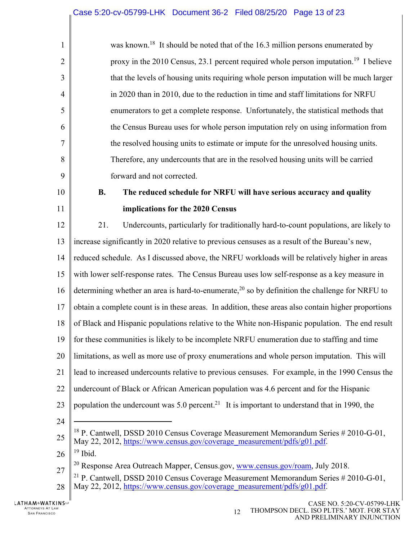| $\mathbf{1}$   | was known. <sup>18</sup> It should be noted that of the 16.3 million persons enumerated by                                                                                 |  |  |  |  |
|----------------|----------------------------------------------------------------------------------------------------------------------------------------------------------------------------|--|--|--|--|
| $\overline{2}$ | proxy in the 2010 Census, 23.1 percent required whole person imputation. <sup>19</sup> I believe                                                                           |  |  |  |  |
| 3              | that the levels of housing units requiring whole person imputation will be much larger                                                                                     |  |  |  |  |
| $\overline{4}$ | in 2020 than in 2010, due to the reduction in time and staff limitations for NRFU                                                                                          |  |  |  |  |
| 5              | enumerators to get a complete response. Unfortunately, the statistical methods that                                                                                        |  |  |  |  |
| 6              | the Census Bureau uses for whole person imputation rely on using information from                                                                                          |  |  |  |  |
| 7              | the resolved housing units to estimate or impute for the unresolved housing units.                                                                                         |  |  |  |  |
| 8              | Therefore, any undercounts that are in the resolved housing units will be carried                                                                                          |  |  |  |  |
| 9              | forward and not corrected.                                                                                                                                                 |  |  |  |  |
| 10             | The reduced schedule for NRFU will have serious accuracy and quality<br><b>B.</b>                                                                                          |  |  |  |  |
| 11             | implications for the 2020 Census                                                                                                                                           |  |  |  |  |
| 12             | 21.<br>Undercounts, particularly for traditionally hard-to-count populations, are likely to                                                                                |  |  |  |  |
| 13             | increase significantly in 2020 relative to previous censuses as a result of the Bureau's new,                                                                              |  |  |  |  |
| 14             | reduced schedule. As I discussed above, the NRFU workloads will be relatively higher in areas                                                                              |  |  |  |  |
| 15             | with lower self-response rates. The Census Bureau uses low self-response as a key measure in                                                                               |  |  |  |  |
| 16             | determining whether an area is hard-to-enumerate, <sup>20</sup> so by definition the challenge for NRFU to                                                                 |  |  |  |  |
| 17             | obtain a complete count is in these areas. In addition, these areas also contain higher proportions                                                                        |  |  |  |  |
| 18             | of Black and Hispanic populations relative to the White non-Hispanic population. The end result                                                                            |  |  |  |  |
| 19             | for these communities is likely to be incomplete NRFU enumeration due to staffing and time                                                                                 |  |  |  |  |
| 20             | limitations, as well as more use of proxy enumerations and whole person imputation. This will                                                                              |  |  |  |  |
| 21             | lead to increased undercounts relative to previous censuses. For example, in the 1990 Census the                                                                           |  |  |  |  |
| 22             | undercount of Black or African American population was 4.6 percent and for the Hispanic                                                                                    |  |  |  |  |
| 23             | population the undercount was 5.0 percent. <sup>21</sup> It is important to understand that in 1990, the                                                                   |  |  |  |  |
| 24             |                                                                                                                                                                            |  |  |  |  |
| 25             | <sup>18</sup> P. Cantwell, DSSD 2010 Census Coverage Measurement Memorandum Series # 2010-G-01,<br>May 22, 2012, https://www.census.gov/coverage_measurement/pdfs/g01.pdf. |  |  |  |  |
| 26             | $19$ Ibid.                                                                                                                                                                 |  |  |  |  |
| 27             | <sup>20</sup> Response Area Outreach Mapper, Census.gov, www.census.gov/roam, July 2018.                                                                                   |  |  |  |  |
| 28             | <sup>21</sup> P. Cantwell, DSSD 2010 Census Coverage Measurement Memorandum Series # 2010-G-01,<br>May 22, 2012, https://www.census.gov/coverage_measurement/pdfs/g01.pdf. |  |  |  |  |
|                |                                                                                                                                                                            |  |  |  |  |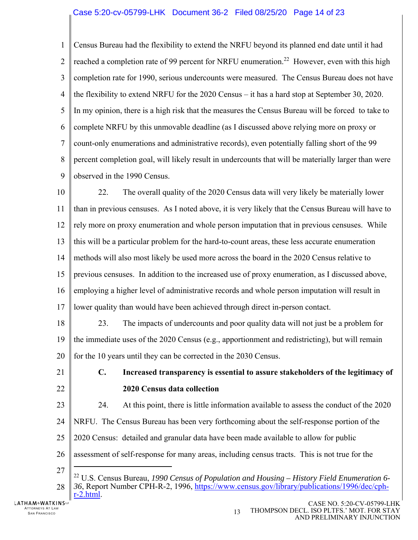#### Case 5:20-cv-05799-LHK Document 36-2 Filed 08/25/20 Page 14 of 23

1  $\mathfrak{D}$ 3 4 5 6 7 8 9 Census Bureau had the flexibility to extend the NRFU beyond its planned end date until it had reached a completion rate of 99 percent for NRFU enumeration.<sup>22</sup> However, even with this high completion rate for 1990, serious undercounts were measured. The Census Bureau does not have the flexibility to extend NRFU for the 2020 Census – it has a hard stop at September 30, 2020. In my opinion, there is a high risk that the measures the Census Bureau will be forced to take to complete NRFU by this unmovable deadline (as I discussed above relying more on proxy or count-only enumerations and administrative records), even potentially falling short of the 99 percent completion goal, will likely result in undercounts that will be materially larger than were observed in the 1990 Census.

10 11 12 13 14 15 16 17 22. The overall quality of the 2020 Census data will very likely be materially lower than in previous censuses. As I noted above, it is very likely that the Census Bureau will have to rely more on proxy enumeration and whole person imputation that in previous censuses. While this will be a particular problem for the hard-to-count areas, these less accurate enumeration methods will also most likely be used more across the board in the 2020 Census relative to previous censuses. In addition to the increased use of proxy enumeration, as I discussed above, employing a higher level of administrative records and whole person imputation will result in lower quality than would have been achieved through direct in-person contact.

18 19 20 23. The impacts of undercounts and poor quality data will not just be a problem for the immediate uses of the 2020 Census (e.g., apportionment and redistricting), but will remain for the 10 years until they can be corrected in the 2030 Census.

21 22

# **C. Increased transparency is essential to assure stakeholders of the legitimacy of 2020 Census data collection**

23 24. At this point, there is little information available to assess the conduct of the 2020

24 NRFU. The Census Bureau has been very forthcoming about the self-response portion of the

- 25 2020 Census: detailed and granular data have been made available to allow for public
- 26 assessment of self-response for many areas, including census tracts. This is not true for the
- 27

 $\overline{a}$ 

28 22 U.S. Census Bureau, *1990 Census of Population and Housing – History Field Enumeration 6- 36*, Report Number CPH-R-2, 1996, https://www.census.gov/library/publications/1996/dec/cphr-2.html.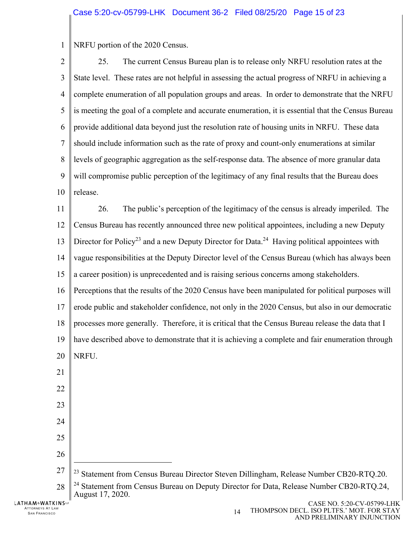1 NRFU portion of the 2020 Census.

 $\mathfrak{D}$ 3 4 5 6 7 8 9 10 25. The current Census Bureau plan is to release only NRFU resolution rates at the State level. These rates are not helpful in assessing the actual progress of NRFU in achieving a complete enumeration of all population groups and areas. In order to demonstrate that the NRFU is meeting the goal of a complete and accurate enumeration, it is essential that the Census Bureau provide additional data beyond just the resolution rate of housing units in NRFU. These data should include information such as the rate of proxy and count-only enumerations at similar levels of geographic aggregation as the self-response data. The absence of more granular data will compromise public perception of the legitimacy of any final results that the Bureau does release.

11 12 13 14 15 26. The public's perception of the legitimacy of the census is already imperiled. The Census Bureau has recently announced three new political appointees, including a new Deputy Director for Policy<sup>23</sup> and a new Deputy Director for Data.<sup>24</sup> Having political appointees with vague responsibilities at the Deputy Director level of the Census Bureau (which has always been a career position) is unprecedented and is raising serious concerns among stakeholders.

16 17 18 19 20 Perceptions that the results of the 2020 Census have been manipulated for political purposes will erode public and stakeholder confidence, not only in the 2020 Census, but also in our democratic processes more generally. Therefore, it is critical that the Census Bureau release the data that I have described above to demonstrate that it is achieving a complete and fair enumeration through NRFU.

- 21
- 22
- 23
- 24
- 25 26

1

- 27 <sup>23</sup> Statement from Census Bureau Director Steven Dillingham, Release Number CB20-RTQ.20.
- 28 <sup>24</sup> Statement from Census Bureau on Deputy Director for Data, Release Number CB20-RTQ.24, August 17, 2020.

LATHAM&WATKINSW ATTORNEYS AT LAW TTORNEYS AT LAW<br>SAN FRANCISCO 14 AM DESTROY AND THE SAN FRANCISCO 14 AM DESTROY AND THE SAN FRANCISCO 14 AM DESTROY AND THE SA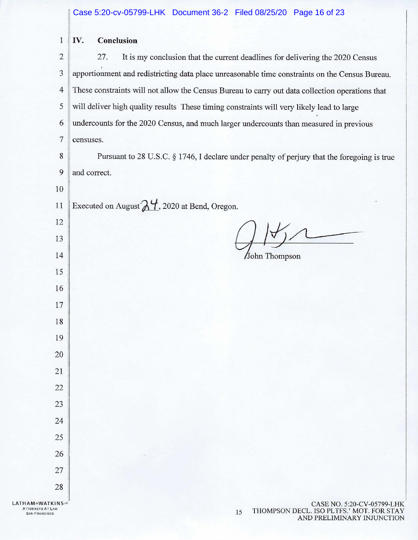#### $1 \parallel W$ . **Conclusion**

10

12

13

14

15

16

17

18

19

20

| $\overline{2}$ | It is my conclusion that the current deadlines for delivering the 2020 Census<br>27.            |
|----------------|-------------------------------------------------------------------------------------------------|
| 3              | apportionment and redistricting data place unreasonable time constraints on the Census Bureau.  |
| $\overline{4}$ | These constraints will not allow the Census Bureau to carry out data collection operations that |
| 5              | will deliver high quality results These timing constraints will very likely lead to large       |
| 6              | undercounts for the 2020 Census, and much larger undercounts than measured in previous          |
|                | censuses.                                                                                       |

| 8 | Pursuant to 28 U.S.C. § 1746, I declare under penalty of perjury that the foregoing is true |
|---|---------------------------------------------------------------------------------------------|
|   | $9$ and correct.                                                                            |

11 Executed on August  $\frac{\lambda}{l}$ , 2020 at Bend, Oregon.

John Thompson

21 22 23 24 25 26 27 28 LATHAM&WATKINSup **ATTORNEYS AT LAW**  TTORNEYS AT LAW **15 THOMPSON DECL. ISO PLTFS.' MOT. FOR STAY** [364] THOMPSON DECL. ISO PLTFS.' MOT. FOR STAY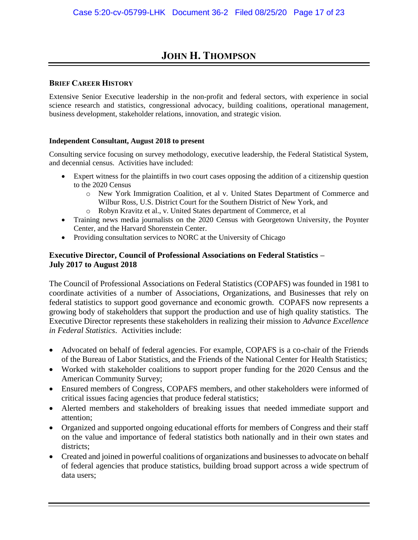# **JOHN H. THOMPSON**

#### **BRIEF CAREER HISTORY**

Extensive Senior Executive leadership in the non-profit and federal sectors, with experience in social science research and statistics, congressional advocacy, building coalitions, operational management, business development, stakeholder relations, innovation, and strategic vision.

#### **Independent Consultant, August 2018 to present**

Consulting service focusing on survey methodology, executive leadership, the Federal Statistical System, and decennial census. Activities have included:

- Expert witness for the plaintiffs in two court cases opposing the addition of a citizenship question to the 2020 Census
	- o New York Immigration Coalition, et al v. United States Department of Commerce and Wilbur Ross, U.S. District Court for the Southern District of New York, and
	- o Robyn Kravitz et al., v. United States department of Commerce, et al
- Training news media journalists on the 2020 Census with Georgetown University, the Poynter Center, and the Harvard Shorenstein Center.
- Providing consultation services to NORC at the University of Chicago

#### **Executive Director, Council of Professional Associations on Federal Statistics – July 2017 to August 2018**

The Council of Professional Associations on Federal Statistics (COPAFS) was founded in 1981 to coordinate activities of a number of Associations, Organizations, and Businesses that rely on federal statistics to support good governance and economic growth. COPAFS now represents a growing body of stakeholders that support the production and use of high quality statistics. The Executive Director represents these stakeholders in realizing their mission to *Advance Excellence in Federal Statistics*. Activities include:

- Advocated on behalf of federal agencies. For example, COPAFS is a co-chair of the Friends of the Bureau of Labor Statistics, and the Friends of the National Center for Health Statistics;
- Worked with stakeholder coalitions to support proper funding for the 2020 Census and the American Community Survey;
- Ensured members of Congress, COPAFS members, and other stakeholders were informed of critical issues facing agencies that produce federal statistics;
- Alerted members and stakeholders of breaking issues that needed immediate support and attention;
- Organized and supported ongoing educational efforts for members of Congress and their staff on the value and importance of federal statistics both nationally and in their own states and districts;
- Created and joined in powerful coalitions of organizations and businesses to advocate on behalf of federal agencies that produce statistics, building broad support across a wide spectrum of data users;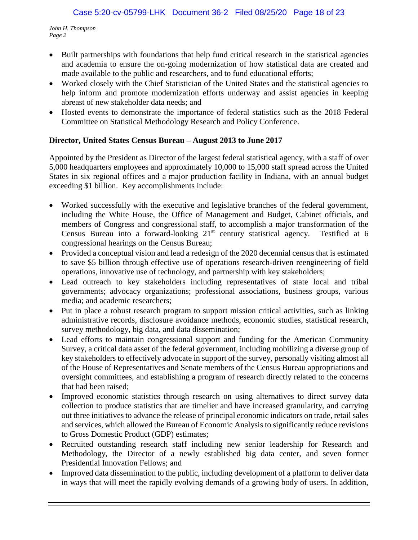- Built partnerships with foundations that help fund critical research in the statistical agencies and academia to ensure the on-going modernization of how statistical data are created and made available to the public and researchers, and to fund educational efforts;
- Worked closely with the Chief Statistician of the United States and the statistical agencies to help inform and promote modernization efforts underway and assist agencies in keeping abreast of new stakeholder data needs; and
- Hosted events to demonstrate the importance of federal statistics such as the 2018 Federal Committee on Statistical Methodology Research and Policy Conference.

### **Director, United States Census Bureau – August 2013 to June 2017**

Appointed by the President as Director of the largest federal statistical agency, with a staff of over 5,000 headquarters employees and approximately 10,000 to 15,000 staff spread across the United States in six regional offices and a major production facility in Indiana, with an annual budget exceeding \$1 billion. Key accomplishments include:

- Worked successfully with the executive and legislative branches of the federal government, including the White House, the Office of Management and Budget, Cabinet officials, and members of Congress and congressional staff, to accomplish a major transformation of the Census Bureau into a forward-looking  $21<sup>st</sup>$  century statistical agency. Testified at 6 congressional hearings on the Census Bureau;
- Provided a conceptual vision and lead a redesign of the 2020 decennial census that is estimated to save \$5 billion through effective use of operations research-driven reengineering of field operations, innovative use of technology, and partnership with key stakeholders;
- Lead outreach to key stakeholders including representatives of state local and tribal governments; advocacy organizations; professional associations, business groups, various media; and academic researchers;
- Put in place a robust research program to support mission critical activities, such as linking administrative records, disclosure avoidance methods, economic studies, statistical research, survey methodology, big data, and data dissemination;
- Lead efforts to maintain congressional support and funding for the American Community Survey, a critical data asset of the federal government, including mobilizing a diverse group of key stakeholders to effectively advocate in support of the survey, personally visiting almost all of the House of Representatives and Senate members of the Census Bureau appropriations and oversight committees, and establishing a program of research directly related to the concerns that had been raised;
- Improved economic statistics through research on using alternatives to direct survey data collection to produce statistics that are timelier and have increased granularity, and carrying out three initiatives to advance the release of principal economic indicators on trade, retail sales and services, which allowed the Bureau of Economic Analysis to significantly reduce revisions to Gross Domestic Product (GDP) estimates;
- Recruited outstanding research staff including new senior leadership for Research and Methodology, the Director of a newly established big data center, and seven former Presidential Innovation Fellows; and
- Improved data dissemination to the public, including development of a platform to deliver data in ways that will meet the rapidly evolving demands of a growing body of users. In addition,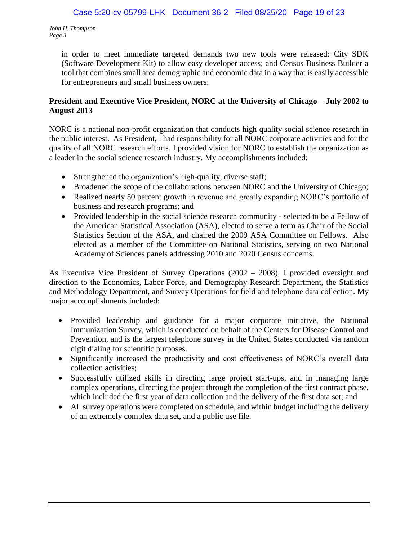> in order to meet immediate targeted demands two new tools were released: City SDK (Software Development Kit) to allow easy developer access; and Census Business Builder a tool that combines small area demographic and economic data in a way that is easily accessible for entrepreneurs and small business owners.

### **President and Executive Vice President, NORC at the University of Chicago – July 2002 to August 2013**

NORC is a national non-profit organization that conducts high quality social science research in the public interest. As President, I had responsibility for all NORC corporate activities and for the quality of all NORC research efforts. I provided vision for NORC to establish the organization as a leader in the social science research industry. My accomplishments included:

- Strengthened the organization's high-quality, diverse staff;
- Broadened the scope of the collaborations between NORC and the University of Chicago;
- Realized nearly 50 percent growth in revenue and greatly expanding NORC's portfolio of business and research programs; and
- Provided leadership in the social science research community selected to be a Fellow of the American Statistical Association (ASA), elected to serve a term as Chair of the Social Statistics Section of the ASA, and chaired the 2009 ASA Committee on Fellows. Also elected as a member of the Committee on National Statistics, serving on two National Academy of Sciences panels addressing 2010 and 2020 Census concerns.

As Executive Vice President of Survey Operations (2002 – 2008), I provided oversight and direction to the Economics, Labor Force, and Demography Research Department, the Statistics and Methodology Department, and Survey Operations for field and telephone data collection. My major accomplishments included:

- Provided leadership and guidance for a major corporate initiative, the National Immunization Survey, which is conducted on behalf of the Centers for Disease Control and Prevention, and is the largest telephone survey in the United States conducted via random digit dialing for scientific purposes.
- Significantly increased the productivity and cost effectiveness of NORC's overall data collection activities;
- Successfully utilized skills in directing large project start-ups, and in managing large complex operations, directing the project through the completion of the first contract phase, which included the first year of data collection and the delivery of the first data set; and
- All survey operations were completed on schedule, and within budget including the delivery of an extremely complex data set, and a public use file.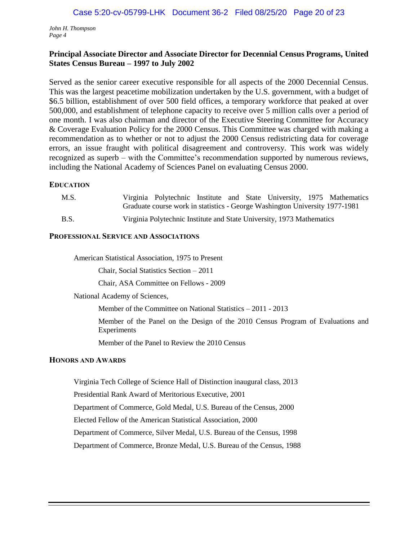#### **Principal Associate Director and Associate Director for Decennial Census Programs, United States Census Bureau – 1997 to July 2002**

Served as the senior career executive responsible for all aspects of the 2000 Decennial Census. This was the largest peacetime mobilization undertaken by the U.S. government, with a budget of \$6.5 billion, establishment of over 500 field offices, a temporary workforce that peaked at over 500,000, and establishment of telephone capacity to receive over 5 million calls over a period of one month. I was also chairman and director of the Executive Steering Committee for Accuracy & Coverage Evaluation Policy for the 2000 Census. This Committee was charged with making a recommendation as to whether or not to adjust the 2000 Census redistricting data for coverage errors, an issue fraught with political disagreement and controversy. This work was widely recognized as superb – with the Committee's recommendation supported by numerous reviews, including the National Academy of Sciences Panel on evaluating Census 2000.

#### **EDUCATION**

| M.S.        | Graduate course work in statistics - George Washington University 1977-1981 |  |  | Virginia Polytechnic Institute and State University, 1975 Mathematics |
|-------------|-----------------------------------------------------------------------------|--|--|-----------------------------------------------------------------------|
| <b>B.S.</b> | Virginia Polytechnic Institute and State University, 1973 Mathematics       |  |  |                                                                       |

#### **PROFESSIONAL SERVICE AND ASSOCIATIONS**

American Statistical Association, 1975 to Present

Chair, Social Statistics Section – 2011

Chair, ASA Committee on Fellows - 2009

National Academy of Sciences,

Member of the Committee on National Statistics – 2011 - 2013

Member of the Panel on the Design of the 2010 Census Program of Evaluations and Experiments

Member of the Panel to Review the 2010 Census

#### **HONORS AND AWARDS**

Virginia Tech College of Science Hall of Distinction inaugural class, 2013

Presidential Rank Award of Meritorious Executive, 2001

Department of Commerce, Gold Medal, U.S. Bureau of the Census, 2000

Elected Fellow of the American Statistical Association, 2000

Department of Commerce, Silver Medal, U.S. Bureau of the Census, 1998

Department of Commerce, Bronze Medal, U.S. Bureau of the Census, 1988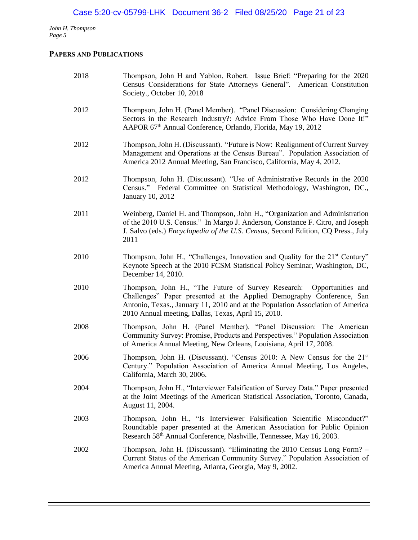# **PAPERS AND PUBLICATIONS**

| 2018 | Thompson, John H and Yablon, Robert. Issue Brief: "Preparing for the 2020<br>Census Considerations for State Attorneys General". American Constitution<br>Society., October 10, 2018                                                                                                      |
|------|-------------------------------------------------------------------------------------------------------------------------------------------------------------------------------------------------------------------------------------------------------------------------------------------|
| 2012 | Thompson, John H. (Panel Member). "Panel Discussion: Considering Changing<br>Sectors in the Research Industry?: Advice From Those Who Have Done It!"<br>AAPOR 67th Annual Conference, Orlando, Florida, May 19, 2012                                                                      |
| 2012 | Thompson, John H. (Discussant). "Future is Now: Realignment of Current Survey<br>Management and Operations at the Census Bureau". Population Association of<br>America 2012 Annual Meeting, San Francisco, California, May 4, 2012.                                                       |
| 2012 | Thompson, John H. (Discussant). "Use of Administrative Records in the 2020<br>Census." Federal Committee on Statistical Methodology, Washington, DC.,<br>January 10, 2012                                                                                                                 |
| 2011 | Weinberg, Daniel H. and Thompson, John H., "Organization and Administration<br>of the 2010 U.S. Census." In Margo J. Anderson, Constance F. Citro, and Joseph<br>J. Salvo (eds.) <i>Encyclopedia of the U.S. Census</i> , Second Edition, CQ Press., July<br>2011                         |
| 2010 | Thompson, John H., "Challenges, Innovation and Quality for the 21st Century"<br>Keynote Speech at the 2010 FCSM Statistical Policy Seminar, Washington, DC,<br>December 14, 2010.                                                                                                         |
| 2010 | Thompson, John H., "The Future of Survey Research:<br>Opportunities and<br>Challenges" Paper presented at the Applied Demography Conference, San<br>Antonio, Texas., January 11, 2010 and at the Population Association of America<br>2010 Annual meeting, Dallas, Texas, April 15, 2010. |
| 2008 | Thompson, John H. (Panel Member). "Panel Discussion: The American<br>Community Survey: Promise, Products and Perspectives." Population Association<br>of America Annual Meeting, New Orleans, Louisiana, April 17, 2008.                                                                  |
| 2006 | Thompson, John H. (Discussant). "Census 2010: A New Census for the 21 <sup>st</sup><br>Century." Population Association of America Annual Meeting, Los Angeles,<br>California, March 30, 2006.                                                                                            |
| 2004 | Thompson, John H., "Interviewer Falsification of Survey Data." Paper presented<br>at the Joint Meetings of the American Statistical Association, Toronto, Canada,<br>August 11, 2004.                                                                                                     |
| 2003 | Thompson, John H., "Is Interviewer Falsification Scientific Misconduct?"<br>Roundtable paper presented at the American Association for Public Opinion<br>Research 58 <sup>th</sup> Annual Conference, Nashville, Tennessee, May 16, 2003.                                                 |
| 2002 | Thompson, John H. (Discussant). "Eliminating the 2010 Census Long Form? –<br>Current Status of the American Community Survey." Population Association of<br>America Annual Meeting, Atlanta, Georgia, May 9, 2002.                                                                        |
|      |                                                                                                                                                                                                                                                                                           |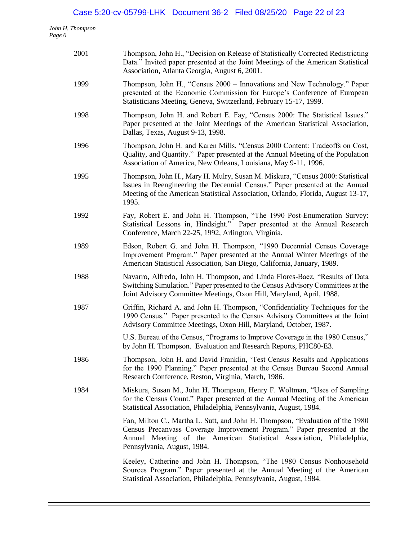| 2001 | Thompson, John H., "Decision on Release of Statistically Corrected Redistricting<br>Data." Invited paper presented at the Joint Meetings of the American Statistical<br>Association, Atlanta Georgia, August 6, 2001.                                            |
|------|------------------------------------------------------------------------------------------------------------------------------------------------------------------------------------------------------------------------------------------------------------------|
| 1999 | Thompson, John H., "Census 2000 – Innovations and New Technology." Paper<br>presented at the Economic Commission for Europe's Conference of European<br>Statisticians Meeting, Geneva, Switzerland, February 15-17, 1999.                                        |
| 1998 | Thompson, John H. and Robert E. Fay, "Census 2000: The Statistical Issues."<br>Paper presented at the Joint Meetings of the American Statistical Association,<br>Dallas, Texas, August 9-13, 1998.                                                               |
| 1996 | Thompson, John H. and Karen Mills, "Census 2000 Content: Tradeoffs on Cost,<br>Quality, and Quantity." Paper presented at the Annual Meeting of the Population<br>Association of America, New Orleans, Louisiana, May 9-11, 1996.                                |
| 1995 | Thompson, John H., Mary H. Mulry, Susan M. Miskura, "Census 2000: Statistical<br>Issues in Reengineering the Decennial Census." Paper presented at the Annual<br>Meeting of the American Statistical Association, Orlando, Florida, August 13-17,<br>1995.       |
| 1992 | Fay, Robert E. and John H. Thompson, "The 1990 Post-Enumeration Survey:<br>Statistical Lessons in, Hindsight." Paper presented at the Annual Research<br>Conference, March 22-25, 1992, Arlington, Virginia.                                                     |
| 1989 | Edson, Robert G. and John H. Thompson, "1990 Decennial Census Coverage<br>Improvement Program." Paper presented at the Annual Winter Meetings of the<br>American Statistical Association, San Diego, California, January, 1989.                                  |
| 1988 | Navarro, Alfredo, John H. Thompson, and Linda Flores-Baez, "Results of Data<br>Switching Simulation." Paper presented to the Census Advisory Committees at the<br>Joint Advisory Committee Meetings, Oxon Hill, Maryland, April, 1988.                           |
| 1987 | Griffin, Richard A. and John H. Thompson, "Confidentiality Techniques for the<br>1990 Census." Paper presented to the Census Advisory Committees at the Joint<br>Advisory Committee Meetings, Oxon Hill, Maryland, October, 1987.                                |
|      | U.S. Bureau of the Census, "Programs to Improve Coverage in the 1980 Census,"<br>by John H. Thompson. Evaluation and Research Reports, PHC80-E3.                                                                                                                 |
| 1986 | Thompson, John H. and David Franklin, 'Test Census Results and Applications<br>for the 1990 Planning." Paper presented at the Census Bureau Second Annual<br>Research Conference, Reston, Virginia, March, 1986.                                                 |
| 1984 | Miskura, Susan M., John H. Thompson, Henry F. Woltman, "Uses of Sampling<br>for the Census Count." Paper presented at the Annual Meeting of the American<br>Statistical Association, Philadelphia, Pennsylvania, August, 1984.                                   |
|      | Fan, Milton C., Martha L. Sutt, and John H. Thompson, "Evaluation of the 1980<br>Census Precanvass Coverage Improvement Program." Paper presented at the<br>Annual Meeting of the American Statistical Association, Philadelphia,<br>Pennsylvania, August, 1984. |
|      | Keeley, Catherine and John H. Thompson, "The 1980 Census Nonhousehold<br>Sources Program." Paper presented at the Annual Meeting of the American<br>Statistical Association, Philadelphia, Pennsylvania, August, 1984.                                           |